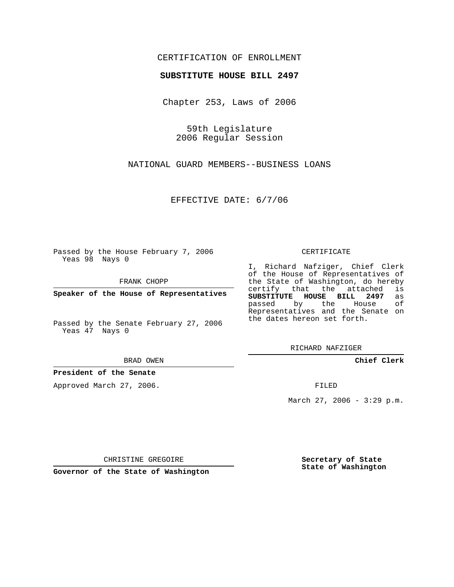## CERTIFICATION OF ENROLLMENT

## **SUBSTITUTE HOUSE BILL 2497**

Chapter 253, Laws of 2006

59th Legislature 2006 Regular Session

NATIONAL GUARD MEMBERS--BUSINESS LOANS

EFFECTIVE DATE: 6/7/06

Passed by the House February 7, 2006 Yeas 98 Nays 0

FRANK CHOPP

**Speaker of the House of Representatives**

Passed by the Senate February 27, 2006 Yeas 47 Nays 0

BRAD OWEN

**President of the Senate**

Approved March 27, 2006.

CERTIFICATE

I, Richard Nafziger, Chief Clerk of the House of Representatives of the State of Washington, do hereby<br>certify that the attached is certify that the attached **SUBSTITUTE HOUSE BILL 2497** as passed by the House Representatives and the Senate on the dates hereon set forth.

RICHARD NAFZIGER

**Chief Clerk**

FILED

March 27, 2006 -  $3:29$  p.m.

CHRISTINE GREGOIRE

**Governor of the State of Washington**

**Secretary of State State of Washington**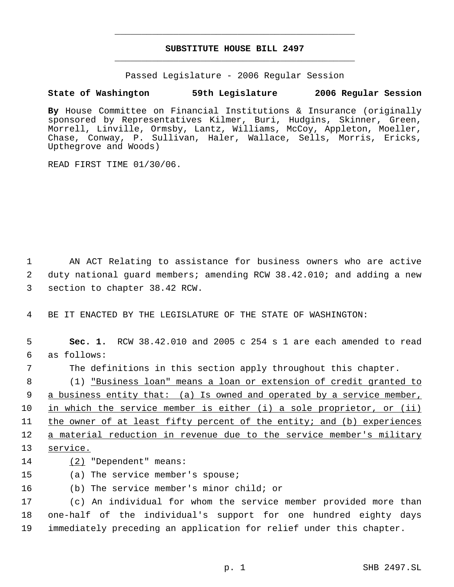## **SUBSTITUTE HOUSE BILL 2497** \_\_\_\_\_\_\_\_\_\_\_\_\_\_\_\_\_\_\_\_\_\_\_\_\_\_\_\_\_\_\_\_\_\_\_\_\_\_\_\_\_\_\_\_\_

\_\_\_\_\_\_\_\_\_\_\_\_\_\_\_\_\_\_\_\_\_\_\_\_\_\_\_\_\_\_\_\_\_\_\_\_\_\_\_\_\_\_\_\_\_

Passed Legislature - 2006 Regular Session

## **State of Washington 59th Legislature 2006 Regular Session**

**By** House Committee on Financial Institutions & Insurance (originally sponsored by Representatives Kilmer, Buri, Hudgins, Skinner, Green, Morrell, Linville, Ormsby, Lantz, Williams, McCoy, Appleton, Moeller, Chase, Conway, P. Sullivan, Haler, Wallace, Sells, Morris, Ericks, Upthegrove and Woods)

READ FIRST TIME 01/30/06.

 1 AN ACT Relating to assistance for business owners who are active 2 duty national guard members; amending RCW 38.42.010; and adding a new 3 section to chapter 38.42 RCW.

4 BE IT ENACTED BY THE LEGISLATURE OF THE STATE OF WASHINGTON:

 5 **Sec. 1.** RCW 38.42.010 and 2005 c 254 s 1 are each amended to read 6 as follows: 7 The definitions in this section apply throughout this chapter. 8 (1) <u>"Business loan" means a loan or extension of credit granted to</u> 9 a business entity that: (a) Is owned and operated by a service member, 10 in which the service member is either (i) a sole proprietor, or (ii) 11 the owner of at least fifty percent of the entity; and (b) experiences 12 a material reduction in revenue due to the service member's military 13 service.

- 14 (2) "Dependent" means:
- 15 (a) The service member's spouse;
- 16 (b) The service member's minor child; or

17 (c) An individual for whom the service member provided more than 18 one-half of the individual's support for one hundred eighty days 19 immediately preceding an application for relief under this chapter.